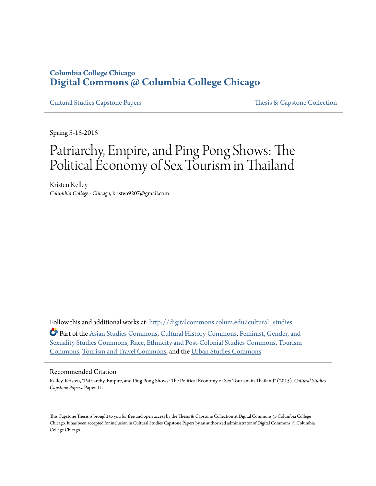### **Columbia College Chicago [Digital Commons @ Columbia College Chicago](http://digitalcommons.colum.edu?utm_source=digitalcommons.colum.edu%2Fcultural_studies%2F11&utm_medium=PDF&utm_campaign=PDFCoverPages)**

[Cultural Studies Capstone Papers](http://digitalcommons.colum.edu/cultural_studies?utm_source=digitalcommons.colum.edu%2Fcultural_studies%2F11&utm_medium=PDF&utm_campaign=PDFCoverPages) [Thesis & Capstone Collection](http://digitalcommons.colum.edu/thesiscoll?utm_source=digitalcommons.colum.edu%2Fcultural_studies%2F11&utm_medium=PDF&utm_campaign=PDFCoverPages)

Spring 5-15-2015

# Patriarchy, Empire, and Ping Pong Shows: The Political Economy of Sex Tourism in Thailand

Kristen Kelley *Columbia College - Chicago*, kristen9207@gmail.com

Follow this and additional works at: [http://digitalcommons.colum.edu/cultural\\_studies](http://digitalcommons.colum.edu/cultural_studies?utm_source=digitalcommons.colum.edu%2Fcultural_studies%2F11&utm_medium=PDF&utm_campaign=PDFCoverPages)

Part of the [Asian Studies Commons,](http://network.bepress.com/hgg/discipline/361?utm_source=digitalcommons.colum.edu%2Fcultural_studies%2F11&utm_medium=PDF&utm_campaign=PDFCoverPages) [Cultural History Commons,](http://network.bepress.com/hgg/discipline/496?utm_source=digitalcommons.colum.edu%2Fcultural_studies%2F11&utm_medium=PDF&utm_campaign=PDFCoverPages) [Feminist, Gender, and](http://network.bepress.com/hgg/discipline/559?utm_source=digitalcommons.colum.edu%2Fcultural_studies%2F11&utm_medium=PDF&utm_campaign=PDFCoverPages) [Sexuality Studies Commons](http://network.bepress.com/hgg/discipline/559?utm_source=digitalcommons.colum.edu%2Fcultural_studies%2F11&utm_medium=PDF&utm_campaign=PDFCoverPages), [Race, Ethnicity and Post-Colonial Studies Commons,](http://network.bepress.com/hgg/discipline/566?utm_source=digitalcommons.colum.edu%2Fcultural_studies%2F11&utm_medium=PDF&utm_campaign=PDFCoverPages) [Tourism](http://network.bepress.com/hgg/discipline/1022?utm_source=digitalcommons.colum.edu%2Fcultural_studies%2F11&utm_medium=PDF&utm_campaign=PDFCoverPages) [Commons,](http://network.bepress.com/hgg/discipline/1022?utm_source=digitalcommons.colum.edu%2Fcultural_studies%2F11&utm_medium=PDF&utm_campaign=PDFCoverPages) [Tourism and Travel Commons,](http://network.bepress.com/hgg/discipline/1082?utm_source=digitalcommons.colum.edu%2Fcultural_studies%2F11&utm_medium=PDF&utm_campaign=PDFCoverPages) and the [Urban Studies Commons](http://network.bepress.com/hgg/discipline/402?utm_source=digitalcommons.colum.edu%2Fcultural_studies%2F11&utm_medium=PDF&utm_campaign=PDFCoverPages)

#### Recommended Citation

Kelley, Kristen, "Patriarchy, Empire, and Ping Pong Shows: The Political Economy of Sex Tourism in Thailand" (2015). *Cultural Studies Capstone Papers.* Paper 11.

This Capstone Thesis is brought to you for free and open access by the Thesis & Capstone Collection at Digital Commons @ Columbia College Chicago. It has been accepted for inclusion in Cultural Studies Capstone Papers by an authorized administrator of Digital Commons @ Columbia College Chicago.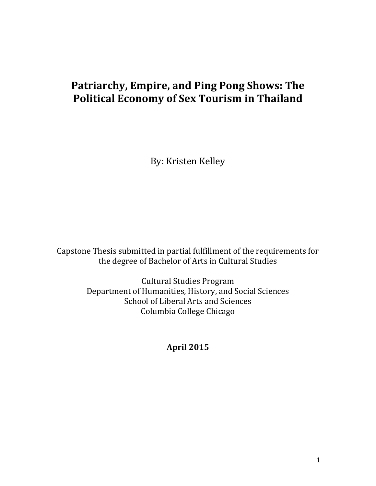# **Patriarchy, Empire, and Ping Pong Shows: The Political Economy of Sex Tourism in Thailand**

By: Kristen Kelley

Capstone Thesis submitted in partial fulfillment of the requirements for the degree of Bachelor of Arts in Cultural Studies

> Cultural Studies Program Department of Humanities, History, and Social Sciences School of Liberal Arts and Sciences Columbia College Chicago

> > **April 2015**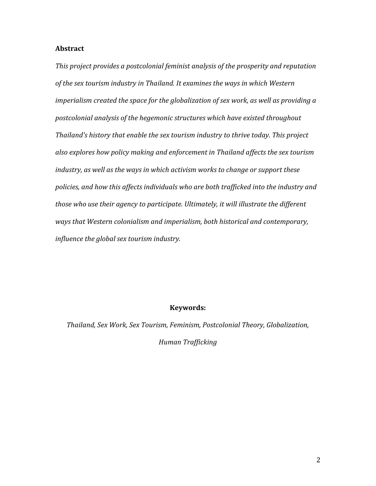#### **Abstract**

*This project provides a postcolonial feminist analysis of the prosperity and reputation of the sex tourism industry in Thailand. It examines the ways in which Western imperialism created the space for the globalization of sex work, as well as providing a postcolonial analysis of the hegemonic structures which have existed throughout Thailand's history that enable the sex tourism industry to thrive today. This project also explores how policy making and enforcement in Thailand affects the sex tourism industry, as well as the ways in which activism works to change or support these policies, and how this affects individuals who are both trafficked into the industry and those who use their agency to participate. Ultimately, it will illustrate the different ways that Western colonialism and imperialism, both historical and contemporary, influence the global sex tourism industry.*

#### **Keywords:**

*Thailand, Sex Work, Sex Tourism, Feminism, Postcolonial Theory, Globalization, Human Trafficking*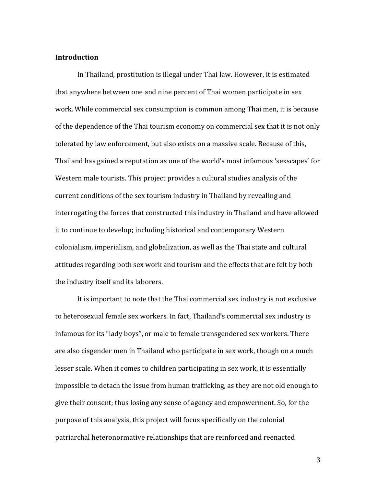#### **Introduction**

In Thailand, prostitution is illegal under Thai law. However, it is estimated that anywhere between one and nine percent of Thai women participate in sex work. While commercial sex consumption is common among Thai men, it is because of the dependence of the Thai tourism economy on commercial sex that it is not only tolerated by law enforcement, but also exists on a massive scale. Because of this, Thailand has gained a reputation as one of the world's most infamous 'sexscapes' for Western male tourists. This project provides a cultural studies analysis of the current conditions of the sex tourism industry in Thailand by revealing and interrogating the forces that constructed this industry in Thailand and have allowed it to continue to develop; including historical and contemporary Western colonialism, imperialism, and globalization, as well as the Thai state and cultural attitudes regarding both sex work and tourism and the effects that are felt by both the industry itself and its laborers.

It is important to note that the Thai commercial sex industry is not exclusive to heterosexual female sex workers. In fact, Thailand's commercial sex industry is infamous for its "lady boys", or male to female transgendered sex workers. There are also cisgender men in Thailand who participate in sex work, though on a much lesser scale. When it comes to children participating in sex work, it is essentially impossible to detach the issue from human trafficking, as they are not old enough to give their consent; thus losing any sense of agency and empowerment. So, for the purpose of this analysis, this project will focus specifically on the colonial patriarchal heteronormative relationships that are reinforced and reenacted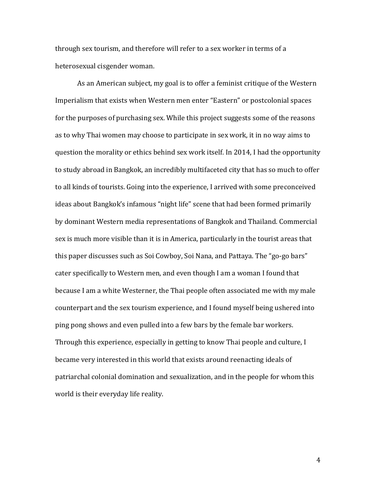through sex tourism, and therefore will refer to a sex worker in terms of a heterosexual cisgender woman.

As an American subject, my goal is to offer a feminist critique of the Western Imperialism that exists when Western men enter "Eastern" or postcolonial spaces for the purposes of purchasing sex. While this project suggests some of the reasons as to why Thai women may choose to participate in sex work, it in no way aims to question the morality or ethics behind sex work itself. In 2014, I had the opportunity to study abroad in Bangkok, an incredibly multifaceted city that has so much to offer to all kinds of tourists. Going into the experience, I arrived with some preconceived ideas about Bangkok's infamous "night life" scene that had been formed primarily by dominant Western media representations of Bangkok and Thailand. Commercial sex is much more visible than it is in America, particularly in the tourist areas that this paper discusses such as Soi Cowboy, Soi Nana, and Pattaya. The "go-go bars" cater specifically to Western men, and even though I am a woman I found that because I am a white Westerner, the Thai people often associated me with my male counterpart and the sex tourism experience, and I found myself being ushered into ping pong shows and even pulled into a few bars by the female bar workers. Through this experience, especially in getting to know Thai people and culture, I became very interested in this world that exists around reenacting ideals of patriarchal colonial domination and sexualization, and in the people for whom this world is their everyday life reality.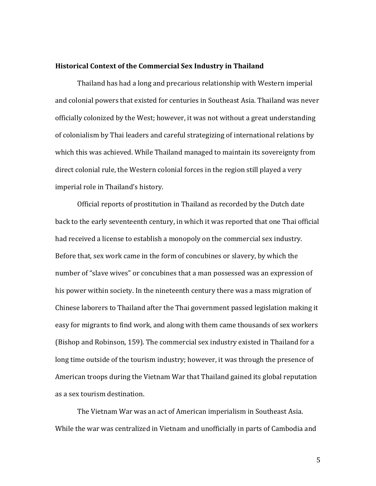#### **Historical Context of the Commercial Sex Industry in Thailand**

Thailand has had a long and precarious relationship with Western imperial and colonial powers that existed for centuries in Southeast Asia. Thailand was never officially colonized by the West; however, it was not without a great understanding of colonialism by Thai leaders and careful strategizing of international relations by which this was achieved. While Thailand managed to maintain its sovereignty from direct colonial rule, the Western colonial forces in the region still played a very imperial role in Thailand's history.

Official reports of prostitution in Thailand as recorded by the Dutch date back to the early seventeenth century, in which it was reported that one Thai official had received a license to establish a monopoly on the commercial sex industry. Before that, sex work came in the form of concubines or slavery, by which the number of "slave wives" or concubines that a man possessed was an expression of his power within society. In the nineteenth century there was a mass migration of Chinese laborers to Thailand after the Thai government passed legislation making it easy for migrants to find work, and along with them came thousands of sex workers (Bishop and Robinson, 159). The commercial sex industry existed in Thailand for a long time outside of the tourism industry; however, it was through the presence of American troops during the Vietnam War that Thailand gained its global reputation as a sex tourism destination.

The Vietnam War was an act of American imperialism in Southeast Asia. While the war was centralized in Vietnam and unofficially in parts of Cambodia and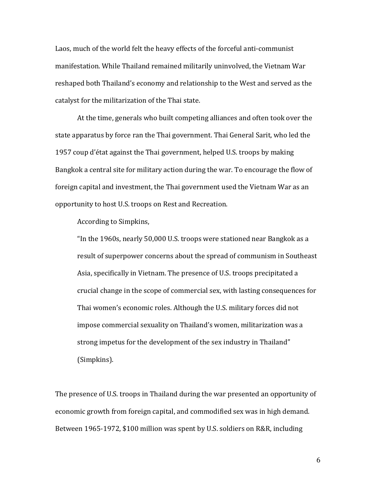Laos, much of the world felt the heavy effects of the forceful anti-communist manifestation. While Thailand remained militarily uninvolved, the Vietnam War reshaped both Thailand's economy and relationship to the West and served as the catalyst for the militarization of the Thai state.

At the time, generals who built competing alliances and often took over the state apparatus by force ran the Thai government. Thai General Sarit, who led the 1957 coup d'état against the Thai government, helped U.S. troops by making Bangkok a central site for military action during the war. To encourage the flow of foreign capital and investment, the Thai government used the Vietnam War as an opportunity to host U.S. troops on Rest and Recreation.

According to Simpkins,

"In the 1960s, nearly 50,000 U.S. troops were stationed near Bangkok as a result of superpower concerns about the spread of communism in Southeast Asia, specifically in Vietnam. The presence of U.S. troops precipitated a crucial change in the scope of commercial sex, with lasting consequences for Thai women's economic roles. Although the U.S. military forces did not impose commercial sexuality on Thailand's women, militarization was a strong impetus for the development of the sex industry in Thailand" (Simpkins).

The presence of U.S. troops in Thailand during the war presented an opportunity of economic growth from foreign capital, and commodified sex was in high demand. Between 1965-1972, \$100 million was spent by U.S. soldiers on R&R, including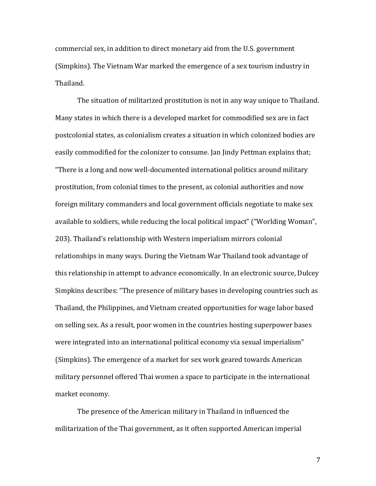commercial sex, in addition to direct monetary aid from the U.S. government (Simpkins). The Vietnam War marked the emergence of a sex tourism industry in Thailand.

The situation of militarized prostitution is not in any way unique to Thailand. Many states in which there is a developed market for commodified sex are in fact postcolonial states, as colonialism creates a situation in which colonized bodies are easily commodified for the colonizer to consume. Jan Jindy Pettman explains that; "There is a long and now well-documented international politics around military prostitution, from colonial times to the present, as colonial authorities and now foreign military commanders and local government officials negotiate to make sex available to soldiers, while reducing the local political impact" ("Worlding Woman", 203). Thailand's relationship with Western imperialism mirrors colonial relationships in many ways. During the Vietnam War Thailand took advantage of this relationship in attempt to advance economically. In an electronic source, Dulcey Simpkins describes: "The presence of military bases in developing countries such as Thailand, the Philippines, and Vietnam created opportunities for wage labor based on selling sex. As a result, poor women in the countries hosting superpower bases were integrated into an international political economy via sexual imperialism" (Simpkins). The emergence of a market for sex work geared towards American military personnel offered Thai women a space to participate in the international market economy.

The presence of the American military in Thailand in influenced the militarization of the Thai government, as it often supported American imperial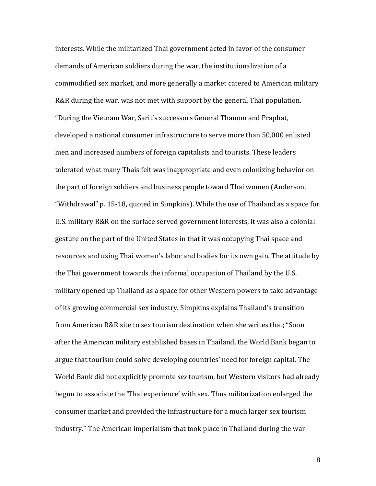interests. While the militarized Thai government acted in favor of the consumer demands of American soldiers during the war, the institutionalization of a commodified sex market, and more generally a market catered to American military R&R during the war, was not met with support by the general Thai population. "During the Vietnam War, Sarit's successors General Thanom and Praphat, developed a national consumer infrastructure to serve more than 50,000 enlisted men and increased numbers of foreign capitalists and tourists. These leaders tolerated what many Thais felt was inappropriate and even colonizing behavior on the part of foreign soldiers and business people toward Thai women (Anderson, "Withdrawal" p. 15-18, quoted in Simpkins). While the use of Thailand as a space for U.S. military R&R on the surface served government interests, it was also a colonial gesture on the part of the United States in that it was occupying Thai space and resources and using Thai women's labor and bodies for its own gain. The attitude by the Thai government towards the informal occupation of Thailand by the U.S. military opened up Thailand as a space for other Western powers to take advantage of its growing commercial sex industry. Simpkins explains Thailand's transition from American R&R site to sex tourism destination when she writes that; "Soon after the American military established bases in Thailand, the World Bank began to argue that tourism could solve developing countries' need for foreign capital. The World Bank did not explicitly promote *sex* tourism, but Western visitors had already begun to associate the 'Thai experience' with sex. Thus militarization enlarged the consumer market and provided the infrastructure for a much larger sex tourism industry." The American imperialism that took place in Thailand during the war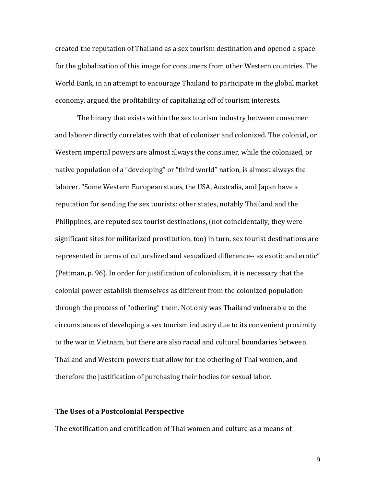created the reputation of Thailand as a sex tourism destination and opened a space for the globalization of this image for consumers from other Western countries. The World Bank, in an attempt to encourage Thailand to participate in the global market economy, argued the profitability of capitalizing off of tourism interests.

The binary that exists within the sex tourism industry between consumer and laborer directly correlates with that of colonizer and colonized. The colonial, or Western imperial powers are almost always the consumer, while the colonized, or native population of a "developing" or "third world" nation, is almost always the laborer. "Some Western European states, the USA, Australia, and Japan have a reputation for sending the sex tourists: other states, notably Thailand and the Philippines, are reputed sex tourist destinations, (not coincidentally, they were significant sites for militarized prostitution, too) in turn, sex tourist destinations are represented in terms of culturalized and sexualized difference-- as exotic and erotic" (Pettman, p. 96). In order for justification of colonialism, it is necessary that the colonial power establish themselves as different from the colonized population through the process of "othering" them. Not only was Thailand vulnerable to the circumstances of developing a sex tourism industry due to its convenient proximity to the war in Vietnam, but there are also racial and cultural boundaries between Thailand and Western powers that allow for the othering of Thai women, and therefore the justification of purchasing their bodies for sexual labor.

#### **The Uses of a Postcolonial Perspective**

The exotification and erotification of Thai women and culture as a means of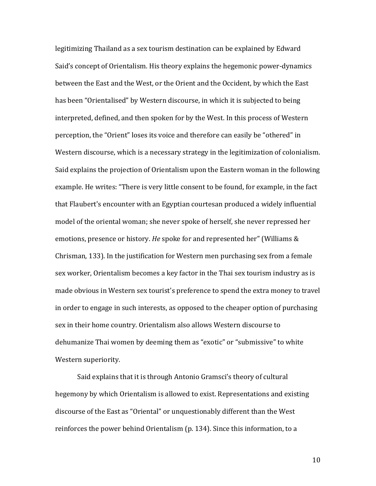legitimizing Thailand as a sex tourism destination can be explained by Edward Said's concept of Orientalism. His theory explains the hegemonic power-dynamics between the East and the West, or the Orient and the Occident, by which the East has been "Orientalised" by Western discourse, in which it is subjected to being interpreted, defined, and then spoken for by the West. In this process of Western perception, the "Orient" loses its voice and therefore can easily be "othered" in Western discourse, which is a necessary strategy in the legitimization of colonialism. Said explains the projection of Orientalism upon the Eastern woman in the following example. He writes: "There is very little consent to be found, for example, in the fact that Flaubert's encounter with an Egyptian courtesan produced a widely influential model of the oriental woman; she never spoke of herself, she never repressed her emotions, presence or history. *He* spoke for and represented her" (Williams & Chrisman, 133). In the justification for Western men purchasing sex from a female sex worker, Orientalism becomes a key factor in the Thai sex tourism industry as is made obvious in Western sex tourist's preference to spend the extra money to travel in order to engage in such interests, as opposed to the cheaper option of purchasing sex in their home country. Orientalism also allows Western discourse to dehumanize Thai women by deeming them as "exotic" or "submissive" to white Western superiority.

Said explains that it is through Antonio Gramsci's theory of cultural hegemony by which Orientalism is allowed to exist. Representations and existing discourse of the East as "Oriental" or unquestionably different than the West reinforces the power behind Orientalism (p. 134). Since this information, to a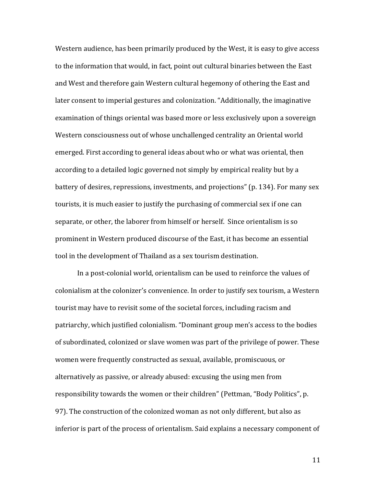Western audience, has been primarily produced by the West, it is easy to give access to the information that would, in fact, point out cultural binaries between the East and West and therefore gain Western cultural hegemony of othering the East and later consent to imperial gestures and colonization. "Additionally, the imaginative examination of things oriental was based more or less exclusively upon a sovereign Western consciousness out of whose unchallenged centrality an Oriental world emerged. First according to general ideas about who or what was oriental, then according to a detailed logic governed not simply by empirical reality but by a battery of desires, repressions, investments, and projections" (p. 134). For many sex tourists, it is much easier to justify the purchasing of commercial sex if one can separate, or other, the laborer from himself or herself. Since orientalism is so prominent in Western produced discourse of the East, it has become an essential tool in the development of Thailand as a sex tourism destination.

In a post-colonial world, orientalism can be used to reinforce the values of colonialism at the colonizer's convenience. In order to justify sex tourism, a Western tourist may have to revisit some of the societal forces, including racism and patriarchy, which justified colonialism. "Dominant group men's access to the bodies of subordinated, colonized or slave women was part of the privilege of power. These women were frequently constructed as sexual, available, promiscuous, or alternatively as passive, or already abused: excusing the using men from responsibility towards the women or their children" (Pettman, "Body Politics", p. 97). The construction of the colonized woman as not only different, but also as inferior is part of the process of orientalism. Said explains a necessary component of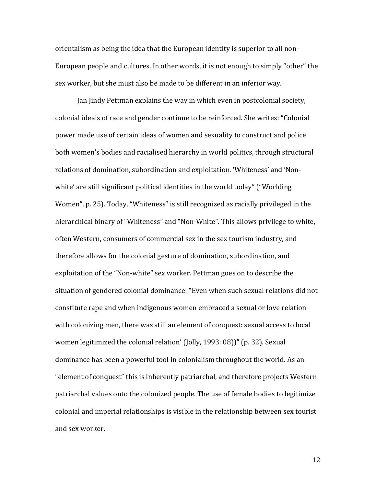orientalism as being the idea that the European identity is superior to all non-European people and cultures. In other words, it is not enough to simply "other" the sex worker, but she must also be made to be different in an inferior way.

Jan Jindy Pettman explains the way in which even in postcolonial society, colonial ideals of race and gender continue to be reinforced. She writes: "Colonial power made use of certain ideas of women and sexuality to construct and police both women's bodies and racialised hierarchy in world politics, through structural relations of domination, subordination and exploitation. 'Whiteness' and 'Nonwhite' are still significant political identities in the world today" ("Worlding Women", p. 25). Today, "Whiteness" is still recognized as racially privileged in the hierarchical binary of "Whiteness" and "Non-White". This allows privilege to white, often Western, consumers of commercial sex in the sex tourism industry, and therefore allows for the colonial gesture of domination, subordination, and exploitation of the "Non-white" sex worker. Pettman goes on to describe the situation of gendered colonial dominance: "Even when such sexual relations did not constitute rape and when indigenous women embraced a sexual or love relation with colonizing men, there was still an element of conquest: sexual access to local women legitimized the colonial relation' (Jolly, 1993: 08))" (p. 32). Sexual dominance has been a powerful tool in colonialism throughout the world. As an "element of conquest" this is inherently patriarchal, and therefore projects Western patriarchal values onto the colonized people. The use of female bodies to legitimize colonial and imperial relationships is visible in the relationship between sex tourist and sex worker.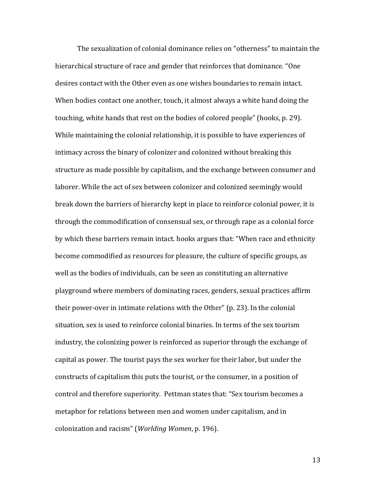The sexualization of colonial dominance relies on "otherness" to maintain the hierarchical structure of race and gender that reinforces that dominance. "One desires contact with the Other even as one wishes boundaries to remain intact. When bodies contact one another, touch, it almost always a white hand doing the touching, white hands that rest on the bodies of colored people" (hooks, p. 29). While maintaining the colonial relationship, it is possible to have experiences of intimacy across the binary of colonizer and colonized without breaking this structure as made possible by capitalism, and the exchange between consumer and laborer. While the act of sex between colonizer and colonized seemingly would break down the barriers of hierarchy kept in place to reinforce colonial power, it is through the commodification of consensual sex, or through rape as a colonial force by which these barriers remain intact. hooks argues that: "When race and ethnicity become commodified as resources for pleasure, the culture of specific groups, as well as the bodies of individuals, can be seen as constituting an alternative playground where members of dominating races, genders, sexual practices affirm their power-over in intimate relations with the Other" (p. 23). In the colonial situation, sex is used to reinforce colonial binaries. In terms of the sex tourism industry, the colonizing power is reinforced as superior through the exchange of capital as power. The tourist pays the sex worker for their labor, but under the constructs of capitalism this puts the tourist, or the consumer, in a position of control and therefore superiority. Pettman states that: "Sex tourism becomes a metaphor for relations between men and women under capitalism, and in colonization and racism" (*Worlding Women*, p. 196).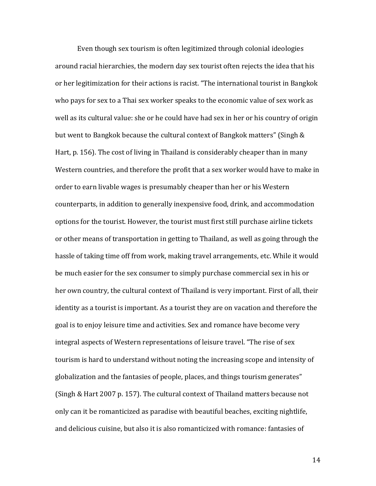Even though sex tourism is often legitimized through colonial ideologies around racial hierarchies, the modern day sex tourist often rejects the idea that his or her legitimization for their actions is racist. "The international tourist in Bangkok who pays for sex to a Thai sex worker speaks to the economic value of sex work as well as its cultural value: she or he could have had sex in her or his country of origin but went to Bangkok because the cultural context of Bangkok matters" (Singh & Hart, p. 156). The cost of living in Thailand is considerably cheaper than in many Western countries, and therefore the profit that a sex worker would have to make in order to earn livable wages is presumably cheaper than her or his Western counterparts, in addition to generally inexpensive food, drink, and accommodation options for the tourist. However, the tourist must first still purchase airline tickets or other means of transportation in getting to Thailand, as well as going through the hassle of taking time off from work, making travel arrangements, etc. While it would be much easier for the sex consumer to simply purchase commercial sex in his or her own country, the cultural context of Thailand is very important. First of all, their identity as a tourist is important. As a tourist they are on vacation and therefore the goal is to enjoy leisure time and activities. Sex and romance have become very integral aspects of Western representations of leisure travel. "The rise of sex tourism is hard to understand without noting the increasing scope and intensity of globalization and the fantasies of people, places, and things tourism generates" (Singh & Hart 2007 p. 157). The cultural context of Thailand matters because not only can it be romanticized as paradise with beautiful beaches, exciting nightlife, and delicious cuisine, but also it is also romanticized with romance: fantasies of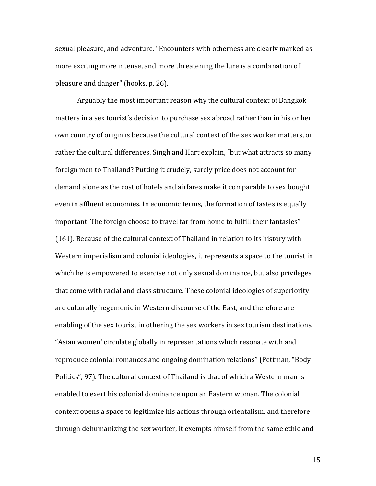sexual pleasure, and adventure. "Encounters with otherness are clearly marked as more exciting more intense, and more threatening the lure is a combination of pleasure and danger" (hooks, p. 26).

Arguably the most important reason why the cultural context of Bangkok matters in a sex tourist's decision to purchase sex abroad rather than in his or her own country of origin is because the cultural context of the sex worker matters, or rather the cultural differences. Singh and Hart explain, "but what attracts so many foreign men to Thailand? Putting it crudely, surely price does not account for demand alone as the cost of hotels and airfares make it comparable to sex bought even in affluent economies. In economic terms, the formation of tastes is equally important. The foreign choose to travel far from home to fulfill their fantasies" (161). Because of the cultural context of Thailand in relation to its history with Western imperialism and colonial ideologies, it represents a space to the tourist in which he is empowered to exercise not only sexual dominance, but also privileges that come with racial and class structure. These colonial ideologies of superiority are culturally hegemonic in Western discourse of the East, and therefore are enabling of the sex tourist in othering the sex workers in sex tourism destinations. "Asian women' circulate globally in representations which resonate with and reproduce colonial romances and ongoing domination relations" (Pettman, "Body Politics", 97). The cultural context of Thailand is that of which a Western man is enabled to exert his colonial dominance upon an Eastern woman. The colonial context opens a space to legitimize his actions through orientalism, and therefore through dehumanizing the sex worker, it exempts himself from the same ethic and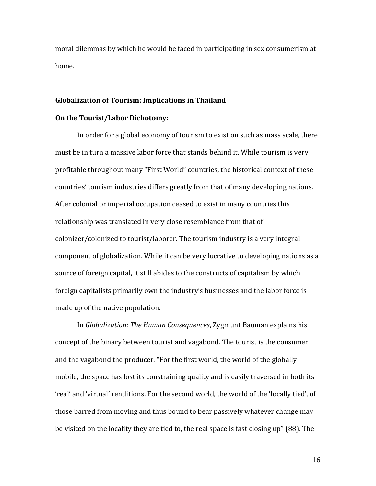moral dilemmas by which he would be faced in participating in sex consumerism at home.

#### **Globalization of Tourism: Implications in Thailand**

#### **On the Tourist/Labor Dichotomy:**

In order for a global economy of tourism to exist on such as mass scale, there must be in turn a massive labor force that stands behind it. While tourism is very profitable throughout many "First World" countries, the historical context of these countries' tourism industries differs greatly from that of many developing nations. After colonial or imperial occupation ceased to exist in many countries this relationship was translated in very close resemblance from that of colonizer/colonized to tourist/laborer. The tourism industry is a very integral component of globalization. While it can be very lucrative to developing nations as a source of foreign capital, it still abides to the constructs of capitalism by which foreign capitalists primarily own the industry's businesses and the labor force is made up of the native population.

In *Globalization: The Human Consequences*, Zygmunt Bauman explains his concept of the binary between tourist and vagabond. The tourist is the consumer and the vagabond the producer. "For the first world, the world of the globally mobile, the space has lost its constraining quality and is easily traversed in both its 'real' and 'virtual' renditions. For the second world, the world of the 'locally tied', of those barred from moving and thus bound to bear passively whatever change may be visited on the locality they are tied to, the real space is fast closing up" (88). The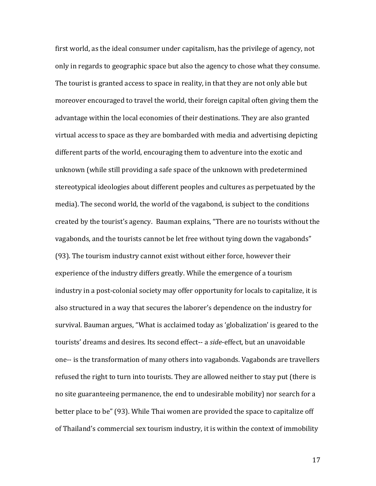first world, as the ideal consumer under capitalism, has the privilege of agency, not only in regards to geographic space but also the agency to chose what they consume. The tourist is granted access to space in reality, in that they are not only able but moreover encouraged to travel the world, their foreign capital often giving them the advantage within the local economies of their destinations. They are also granted virtual access to space as they are bombarded with media and advertising depicting different parts of the world, encouraging them to adventure into the exotic and unknown (while still providing a safe space of the unknown with predetermined stereotypical ideologies about different peoples and cultures as perpetuated by the media). The second world, the world of the vagabond, is subject to the conditions created by the tourist's agency. Bauman explains, "There are no tourists without the vagabonds, and the tourists cannot be let free without tying down the vagabonds" (93). The tourism industry cannot exist without either force, however their experience of the industry differs greatly. While the emergence of a tourism industry in a post-colonial society may offer opportunity for locals to capitalize, it is also structured in a way that secures the laborer's dependence on the industry for survival. Bauman argues, "What is acclaimed today as 'globalization' is geared to the tourists' dreams and desires. Its second effect-- a *side*-effect, but an unavoidable one-- is the transformation of many others into vagabonds. Vagabonds are travellers refused the right to turn into tourists. They are allowed neither to stay put (there is no site guaranteeing permanence, the end to undesirable mobility) nor search for a better place to be" (93). While Thai women are provided the space to capitalize off of Thailand's commercial sex tourism industry, it is within the context of immobility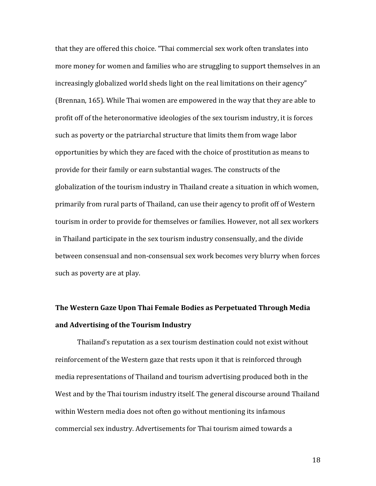that they are offered this choice. "Thai commercial sex work often translates into more money for women and families who are struggling to support themselves in an increasingly globalized world sheds light on the real limitations on their agency" (Brennan, 165). While Thai women are empowered in the way that they are able to profit off of the heteronormative ideologies of the sex tourism industry, it is forces such as poverty or the patriarchal structure that limits them from wage labor opportunities by which they are faced with the choice of prostitution as means to provide for their family or earn substantial wages. The constructs of the globalization of the tourism industry in Thailand create a situation in which women, primarily from rural parts of Thailand, can use their agency to profit off of Western tourism in order to provide for themselves or families. However, not all sex workers in Thailand participate in the sex tourism industry consensually, and the divide between consensual and non-consensual sex work becomes very blurry when forces such as poverty are at play.

# **The Western Gaze Upon Thai Female Bodies as Perpetuated Through Media and Advertising of the Tourism Industry**

Thailand's reputation as a sex tourism destination could not exist without reinforcement of the Western gaze that rests upon it that is reinforced through media representations of Thailand and tourism advertising produced both in the West and by the Thai tourism industry itself. The general discourse around Thailand within Western media does not often go without mentioning its infamous commercial sex industry. Advertisements for Thai tourism aimed towards a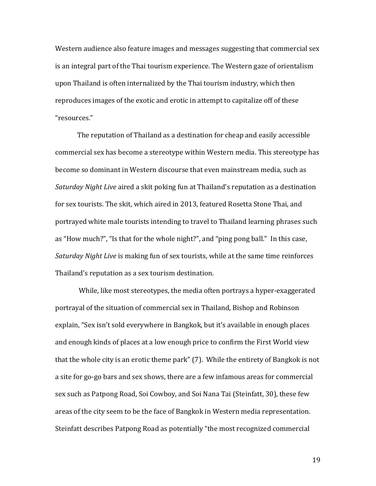Western audience also feature images and messages suggesting that commercial sex is an integral part of the Thai tourism experience. The Western gaze of orientalism upon Thailand is often internalized by the Thai tourism industry, which then reproduces images of the exotic and erotic in attempt to capitalize off of these "resources."

The reputation of Thailand as a destination for cheap and easily accessible commercial sex has become a stereotype within Western media. This stereotype has become so dominant in Western discourse that even mainstream media, such as *Saturday Night Live* aired a skit poking fun at Thailand's reputation as a destination for sex tourists. The skit, which aired in 2013, featured Rosetta Stone Thai, and portrayed white male tourists intending to travel to Thailand learning phrases such as "How much?", "Is that for the whole night?", and "ping pong ball." In this case, *Saturday Night Live* is making fun of sex tourists, while at the same time reinforces Thailand's reputation as a sex tourism destination.

While, like most stereotypes, the media often portrays a hyper-exaggerated portrayal of the situation of commercial sex in Thailand, Bishop and Robinson explain, "Sex isn't sold everywhere in Bangkok, but it's available in enough places and enough kinds of places at a low enough price to confirm the First World view that the whole city is an erotic theme park" (7). While the entirety of Bangkok is not a site for go-go bars and sex shows, there are a few infamous areas for commercial sex such as Patpong Road, Soi Cowboy, and Soi Nana Tai (Steinfatt, 30), these few areas of the city seem to be the face of Bangkok in Western media representation. Steinfatt describes Patpong Road as potentially "the most recognized commercial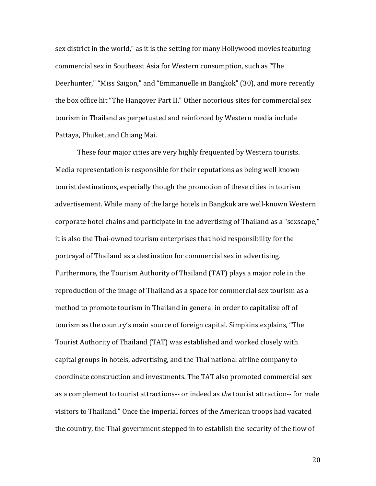sex district in the world," as it is the setting for many Hollywood movies featuring commercial sex in Southeast Asia for Western consumption, such as "The Deerhunter," "Miss Saigon," and "Emmanuelle in Bangkok" (30), and more recently the box office hit "The Hangover Part II." Other notorious sites for commercial sex tourism in Thailand as perpetuated and reinforced by Western media include Pattaya, Phuket, and Chiang Mai.

These four major cities are very highly frequented by Western tourists. Media representation is responsible for their reputations as being well known tourist destinations, especially though the promotion of these cities in tourism advertisement. While many of the large hotels in Bangkok are well-known Western corporate hotel chains and participate in the advertising of Thailand as a "sexscape," it is also the Thai-owned tourism enterprises that hold responsibility for the portrayal of Thailand as a destination for commercial sex in advertising. Furthermore, the Tourism Authority of Thailand (TAT) plays a major role in the reproduction of the image of Thailand as a space for commercial sex tourism as a method to promote tourism in Thailand in general in order to capitalize off of tourism as the country's main source of foreign capital. Simpkins explains, "The Tourist Authority of Thailand (TAT) was established and worked closely with capital groups in hotels, advertising, and the Thai national airline company to coordinate construction and investments. The TAT also promoted commercial sex as a complement to tourist attractions-- or indeed as *the* tourist attraction-- for male visitors to Thailand." Once the imperial forces of the American troops had vacated the country, the Thai government stepped in to establish the security of the flow of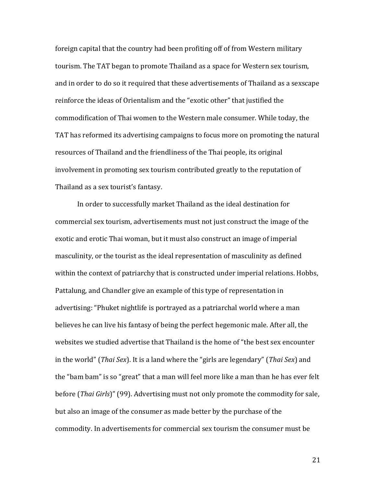foreign capital that the country had been profiting off of from Western military tourism. The TAT began to promote Thailand as a space for Western sex tourism, and in order to do so it required that these advertisements of Thailand as a sexscape reinforce the ideas of Orientalism and the "exotic other" that justified the commodification of Thai women to the Western male consumer. While today, the TAT has reformed its advertising campaigns to focus more on promoting the natural resources of Thailand and the friendliness of the Thai people, its original involvement in promoting sex tourism contributed greatly to the reputation of Thailand as a sex tourist's fantasy.

In order to successfully market Thailand as the ideal destination for commercial sex tourism, advertisements must not just construct the image of the exotic and erotic Thai woman, but it must also construct an image of imperial masculinity, or the tourist as the ideal representation of masculinity as defined within the context of patriarchy that is constructed under imperial relations. Hobbs, Pattalung, and Chandler give an example of this type of representation in advertising: "Phuket nightlife is portrayed as a patriarchal world where a man believes he can live his fantasy of being the perfect hegemonic male. After all, the websites we studied advertise that Thailand is the home of "the best sex encounter in the world" (*Thai Sex*). It is a land where the "girls are legendary" (*Thai Sex*) and the "bam bam" is so "great" that a man will feel more like a man than he has ever felt before (*Thai Girls*)" (99). Advertising must not only promote the commodity for sale, but also an image of the consumer as made better by the purchase of the commodity. In advertisements for commercial sex tourism the consumer must be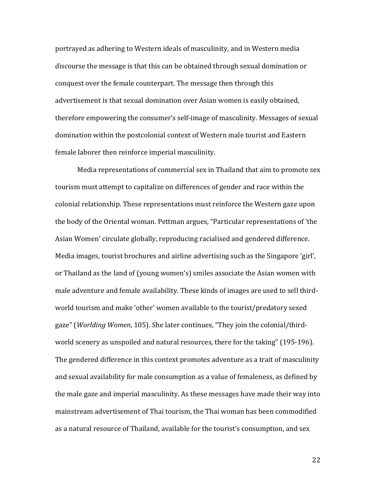portrayed as adhering to Western ideals of masculinity, and in Western media discourse the message is that this can be obtained through sexual domination or conquest over the female counterpart. The message then through this advertisement is that sexual domination over Asian women is easily obtained, therefore empowering the consumer's self-image of masculinity. Messages of sexual domination within the postcolonial context of Western male tourist and Eastern female laborer then reinforce imperial masculinity.

Media representations of commercial sex in Thailand that aim to promote sex tourism must attempt to capitalize on differences of gender and race within the colonial relationship. These representations must reinforce the Western gaze upon the body of the Oriental woman. Pettman argues, "Particular representations of 'the Asian Women' circulate globally, reproducing racialised and gendered difference. Media images, tourist brochures and airline advertising such as the Singapore 'girl', or Thailand as the land of (young women's) smiles associate the Asian women with male adventure and female availability. These kinds of images are used to sell thirdworld tourism and make 'other' women available to the tourist/predatory sexed gaze" (*Worlding Women*, 105). She later continues, "They join the colonial/thirdworld scenery as unspoiled and natural resources, there for the taking" (195-196). The gendered difference in this context promotes adventure as a trait of masculinity and sexual availability for male consumption as a value of femaleness, as defined by the male gaze and imperial masculinity. As these messages have made their way into mainstream advertisement of Thai tourism, the Thai woman has been commodified as a natural resource of Thailand, available for the tourist's consumption, and sex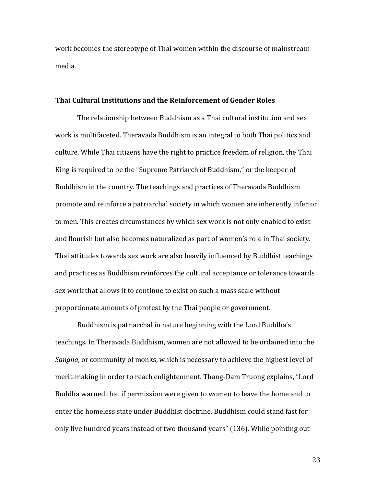work becomes the stereotype of Thai women within the discourse of mainstream media.

#### **Thai Cultural Institutions and the Reinforcement of Gender Roles**

The relationship between Buddhism as a Thai cultural institution and sex work is multifaceted. Theravada Buddhism is an integral to both Thai politics and culture. While Thai citizens have the right to practice freedom of religion, the Thai King is required to be the "Supreme Patriarch of Buddhism," or the keeper of Buddhism in the country. The teachings and practices of Theravada Buddhism promote and reinforce a patriarchal society in which women are inherently inferior to men. This creates circumstances by which sex work is not only enabled to exist and flourish but also becomes naturalized as part of women's role in Thai society. Thai attitudes towards sex work are also heavily influenced by Buddhist teachings and practices as Buddhism reinforces the cultural acceptance or tolerance towards sex work that allows it to continue to exist on such a mass scale without proportionate amounts of protest by the Thai people or government.

Buddhism is patriarchal in nature beginning with the Lord Buddha's teachings. In Theravada Buddhism, women are not allowed to be ordained into the *Sangha*, or community of monks, which is necessary to achieve the highest level of merit-making in order to reach enlightenment. Thang-Dam Truong explains, "Lord Buddha warned that if permission were given to women to leave the home and to enter the homeless state under Buddhist doctrine. Buddhism could stand fast for only five hundred years instead of two thousand years" (136). While pointing out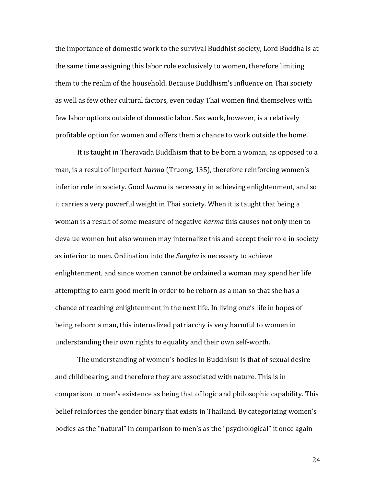the importance of domestic work to the survival Buddhist society, Lord Buddha is at the same time assigning this labor role exclusively to women, therefore limiting them to the realm of the household. Because Buddhism's influence on Thai society as well as few other cultural factors, even today Thai women find themselves with few labor options outside of domestic labor. Sex work, however, is a relatively profitable option for women and offers them a chance to work outside the home.

It is taught in Theravada Buddhism that to be born a woman, as opposed to a man, is a result of imperfect *karma* (Truong, 135), therefore reinforcing women's inferior role in society. Good *karma* is necessary in achieving enlightenment, and so it carries a very powerful weight in Thai society. When it is taught that being a woman is a result of some measure of negative *karma* this causes not only men to devalue women but also women may internalize this and accept their role in society as inferior to men. Ordination into the *Sangha* is necessary to achieve enlightenment, and since women cannot be ordained a woman may spend her life attempting to earn good merit in order to be reborn as a man so that she has a chance of reaching enlightenment in the next life. In living one's life in hopes of being reborn a man, this internalized patriarchy is very harmful to women in understanding their own rights to equality and their own self-worth.

The understanding of women's bodies in Buddhism is that of sexual desire and childbearing, and therefore they are associated with nature. This is in comparison to men's existence as being that of logic and philosophic capability. This belief reinforces the gender binary that exists in Thailand. By categorizing women's bodies as the "natural" in comparison to men's as the "psychological" it once again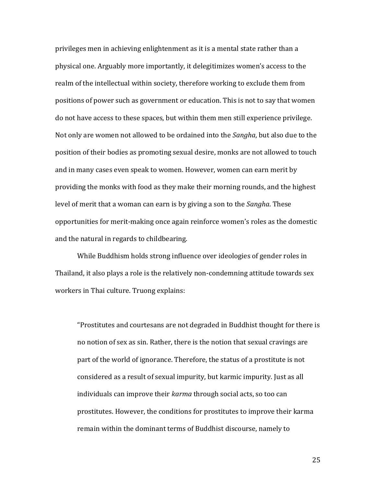privileges men in achieving enlightenment as it is a mental state rather than a physical one. Arguably more importantly, it delegitimizes women's access to the realm of the intellectual within society, therefore working to exclude them from positions of power such as government or education. This is not to say that women do not have access to these spaces, but within them men still experience privilege. Not only are women not allowed to be ordained into the *Sangha*, but also due to the position of their bodies as promoting sexual desire, monks are not allowed to touch and in many cases even speak to women. However, women can earn merit by providing the monks with food as they make their morning rounds, and the highest level of merit that a woman can earn is by giving a son to the *Sangha*. These opportunities for merit-making once again reinforce women's roles as the domestic and the natural in regards to childbearing.

While Buddhism holds strong influence over ideologies of gender roles in Thailand, it also plays a role is the relatively non-condemning attitude towards sex workers in Thai culture. Truong explains:

"Prostitutes and courtesans are not degraded in Buddhist thought for there is no notion of sex as sin. Rather, there is the notion that sexual cravings are part of the world of ignorance. Therefore, the status of a prostitute is not considered as a result of sexual impurity, but karmic impurity. Just as all individuals can improve their *karma* through social acts, so too can prostitutes. However, the conditions for prostitutes to improve their karma remain within the dominant terms of Buddhist discourse, namely to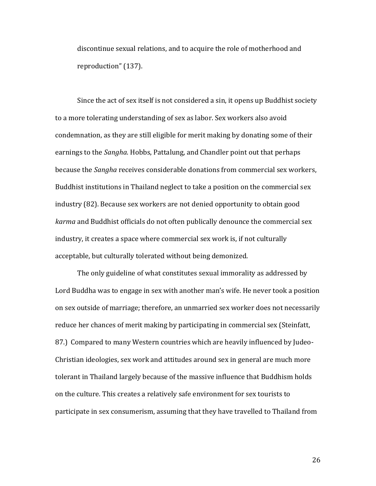discontinue sexual relations, and to acquire the role of motherhood and reproduction" (137).

Since the act of sex itself is not considered a sin, it opens up Buddhist society to a more tolerating understanding of sex as labor. Sex workers also avoid condemnation, as they are still eligible for merit making by donating some of their earnings to the *Sangha*. Hobbs, Pattalung, and Chandler point out that perhaps because the *Sangha* receives considerable donations from commercial sex workers, Buddhist institutions in Thailand neglect to take a position on the commercial sex industry (82). Because sex workers are not denied opportunity to obtain good *karma* and Buddhist officials do not often publically denounce the commercial sex industry, it creates a space where commercial sex work is, if not culturally acceptable, but culturally tolerated without being demonized.

The only guideline of what constitutes sexual immorality as addressed by Lord Buddha was to engage in sex with another man's wife. He never took a position on sex outside of marriage; therefore, an unmarried sex worker does not necessarily reduce her chances of merit making by participating in commercial sex (Steinfatt, 87.) Compared to many Western countries which are heavily influenced by Judeo-Christian ideologies, sex work and attitudes around sex in general are much more tolerant in Thailand largely because of the massive influence that Buddhism holds on the culture. This creates a relatively safe environment for sex tourists to participate in sex consumerism, assuming that they have travelled to Thailand from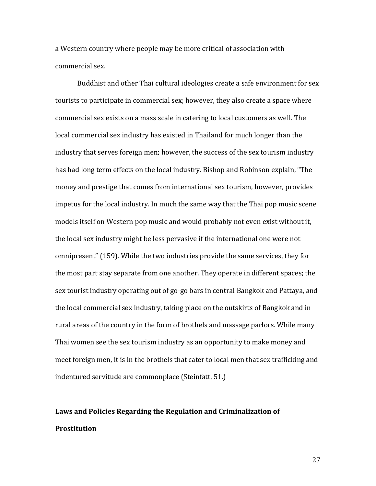a Western country where people may be more critical of association with commercial sex.

Buddhist and other Thai cultural ideologies create a safe environment for sex tourists to participate in commercial sex; however, they also create a space where commercial sex exists on a mass scale in catering to local customers as well. The local commercial sex industry has existed in Thailand for much longer than the industry that serves foreign men; however, the success of the sex tourism industry has had long term effects on the local industry. Bishop and Robinson explain, "The money and prestige that comes from international sex tourism, however, provides impetus for the local industry. In much the same way that the Thai pop music scene models itself on Western pop music and would probably not even exist without it, the local sex industry might be less pervasive if the international one were not omnipresent" (159). While the two industries provide the same services, they for the most part stay separate from one another. They operate in different spaces; the sex tourist industry operating out of go-go bars in central Bangkok and Pattaya, and the local commercial sex industry, taking place on the outskirts of Bangkok and in rural areas of the country in the form of brothels and massage parlors. While many Thai women see the sex tourism industry as an opportunity to make money and meet foreign men, it is in the brothels that cater to local men that sex trafficking and indentured servitude are commonplace (Steinfatt, 51.)

## **Laws and Policies Regarding the Regulation and Criminalization of Prostitution**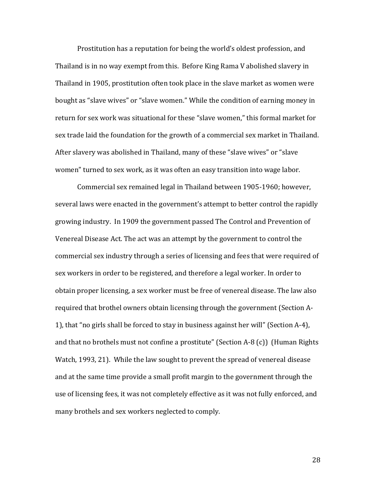Prostitution has a reputation for being the world's oldest profession, and Thailand is in no way exempt from this. Before King Rama V abolished slavery in Thailand in 1905, prostitution often took place in the slave market as women were bought as "slave wives" or "slave women." While the condition of earning money in return for sex work was situational for these "slave women," this formal market for sex trade laid the foundation for the growth of a commercial sex market in Thailand. After slavery was abolished in Thailand, many of these "slave wives" or "slave women" turned to sex work, as it was often an easy transition into wage labor.

Commercial sex remained legal in Thailand between 1905-1960; however, several laws were enacted in the government's attempt to better control the rapidly growing industry. In 1909 the government passed The Control and Prevention of Venereal Disease Act. The act was an attempt by the government to control the commercial sex industry through a series of licensing and fees that were required of sex workers in order to be registered, and therefore a legal worker. In order to obtain proper licensing, a sex worker must be free of venereal disease. The law also required that brothel owners obtain licensing through the government (Section A-1), that "no girls shall be forced to stay in business against her will" (Section A-4), and that no brothels must not confine a prostitute" (Section A-8 (c)) (Human Rights Watch, 1993, 21). While the law sought to prevent the spread of venereal disease and at the same time provide a small profit margin to the government through the use of licensing fees, it was not completely effective as it was not fully enforced, and many brothels and sex workers neglected to comply.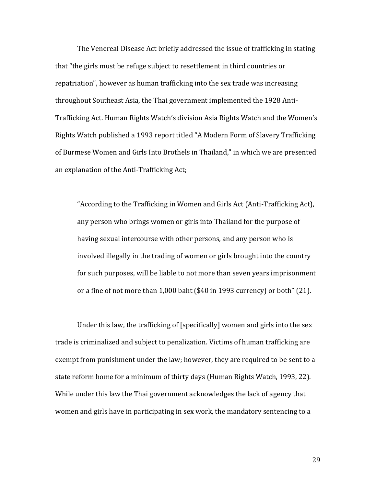The Venereal Disease Act briefly addressed the issue of trafficking in stating that "the girls must be refuge subject to resettlement in third countries or repatriation", however as human trafficking into the sex trade was increasing throughout Southeast Asia, the Thai government implemented the 1928 Anti-Trafficking Act. Human Rights Watch's division Asia Rights Watch and the Women's Rights Watch published a 1993 report titled "A Modern Form of Slavery Trafficking of Burmese Women and Girls Into Brothels in Thailand," in which we are presented an explanation of the Anti-Trafficking Act;

"According to the Trafficking in Women and Girls Act (Anti-Trafficking Act), any person who brings women or girls into Thailand for the purpose of having sexual intercourse with other persons, and any person who is involved illegally in the trading of women or girls brought into the country for such purposes, will be liable to not more than seven years imprisonment or a fine of not more than 1,000 baht (\$40 in 1993 currency) or both" (21).

Under this law, the trafficking of [specifically] women and girls into the sex trade is criminalized and subject to penalization. Victims of human trafficking are exempt from punishment under the law; however, they are required to be sent to a state reform home for a minimum of thirty days (Human Rights Watch, 1993, 22). While under this law the Thai government acknowledges the lack of agency that women and girls have in participating in sex work, the mandatory sentencing to a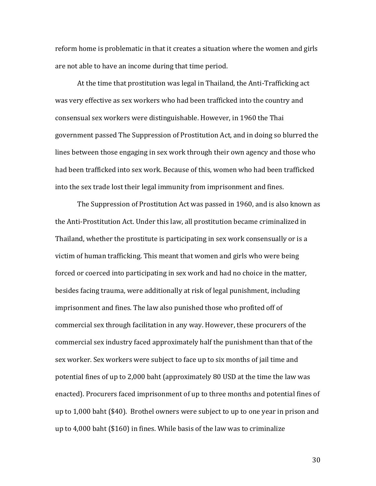reform home is problematic in that it creates a situation where the women and girls are not able to have an income during that time period.

At the time that prostitution was legal in Thailand, the Anti-Trafficking act was very effective as sex workers who had been trafficked into the country and consensual sex workers were distinguishable. However, in 1960 the Thai government passed The Suppression of Prostitution Act, and in doing so blurred the lines between those engaging in sex work through their own agency and those who had been trafficked into sex work. Because of this, women who had been trafficked into the sex trade lost their legal immunity from imprisonment and fines.

The Suppression of Prostitution Act was passed in 1960, and is also known as the Anti-Prostitution Act. Under this law, all prostitution became criminalized in Thailand, whether the prostitute is participating in sex work consensually or is a victim of human trafficking. This meant that women and girls who were being forced or coerced into participating in sex work and had no choice in the matter, besides facing trauma, were additionally at risk of legal punishment, including imprisonment and fines. The law also punished those who profited off of commercial sex through facilitation in any way. However, these procurers of the commercial sex industry faced approximately half the punishment than that of the sex worker. Sex workers were subject to face up to six months of jail time and potential fines of up to 2,000 baht (approximately 80 USD at the time the law was enacted). Procurers faced imprisonment of up to three months and potential fines of up to 1,000 baht (\$40). Brothel owners were subject to up to one year in prison and up to 4,000 baht (\$160) in fines. While basis of the law was to criminalize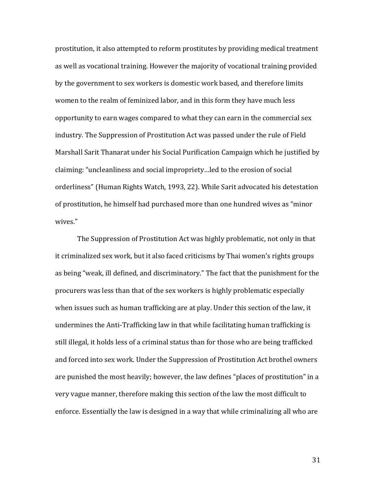prostitution, it also attempted to reform prostitutes by providing medical treatment as well as vocational training. However the majority of vocational training provided by the government to sex workers is domestic work based, and therefore limits women to the realm of feminized labor, and in this form they have much less opportunity to earn wages compared to what they can earn in the commercial sex industry. The Suppression of Prostitution Act was passed under the rule of Field Marshall Sarit Thanarat under his Social Purification Campaign which he justified by claiming: "uncleanliness and social impropriety…led to the erosion of social orderliness" (Human Rights Watch, 1993, 22). While Sarit advocated his detestation of prostitution, he himself had purchased more than one hundred wives as "minor wives."

The Suppression of Prostitution Act was highly problematic, not only in that it criminalized sex work, but it also faced criticisms by Thai women's rights groups as being "weak, ill defined, and discriminatory." The fact that the punishment for the procurers was less than that of the sex workers is highly problematic especially when issues such as human trafficking are at play. Under this section of the law, it undermines the Anti-Trafficking law in that while facilitating human trafficking is still illegal, it holds less of a criminal status than for those who are being trafficked and forced into sex work. Under the Suppression of Prostitution Act brothel owners are punished the most heavily; however, the law defines "places of prostitution" in a very vague manner, therefore making this section of the law the most difficult to enforce. Essentially the law is designed in a way that while criminalizing all who are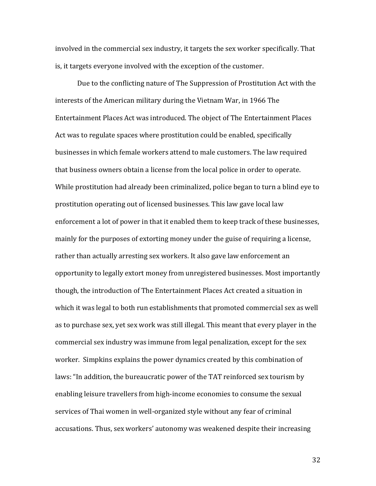involved in the commercial sex industry, it targets the sex worker specifically. That is, it targets everyone involved with the exception of the customer.

Due to the conflicting nature of The Suppression of Prostitution Act with the interests of the American military during the Vietnam War, in 1966 The Entertainment Places Act was introduced. The object of The Entertainment Places Act was to regulate spaces where prostitution could be enabled, specifically businesses in which female workers attend to male customers. The law required that business owners obtain a license from the local police in order to operate. While prostitution had already been criminalized, police began to turn a blind eye to prostitution operating out of licensed businesses. This law gave local law enforcement a lot of power in that it enabled them to keep track of these businesses, mainly for the purposes of extorting money under the guise of requiring a license, rather than actually arresting sex workers. It also gave law enforcement an opportunity to legally extort money from unregistered businesses. Most importantly though, the introduction of The Entertainment Places Act created a situation in which it was legal to both run establishments that promoted commercial sex as well as to purchase sex, yet sex work was still illegal. This meant that every player in the commercial sex industry was immune from legal penalization, except for the sex worker. Simpkins explains the power dynamics created by this combination of laws: "In addition, the bureaucratic power of the TAT reinforced sex tourism by enabling leisure travellers from high-income economies to consume the sexual services of Thai women in well-organized style without any fear of criminal accusations. Thus, sex workers' autonomy was weakened despite their increasing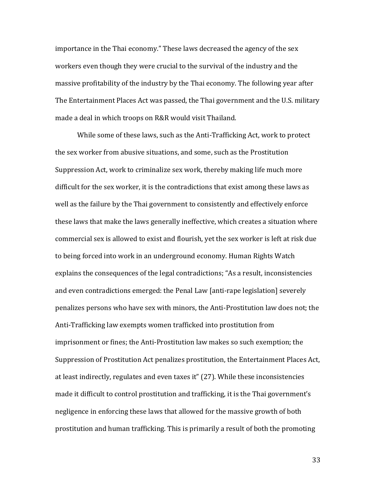importance in the Thai economy." These laws decreased the agency of the sex workers even though they were crucial to the survival of the industry and the massive profitability of the industry by the Thai economy. The following year after The Entertainment Places Act was passed, the Thai government and the U.S. military made a deal in which troops on R&R would visit Thailand.

While some of these laws, such as the Anti-Trafficking Act, work to protect the sex worker from abusive situations, and some, such as the Prostitution Suppression Act, work to criminalize sex work, thereby making life much more difficult for the sex worker, it is the contradictions that exist among these laws as well as the failure by the Thai government to consistently and effectively enforce these laws that make the laws generally ineffective, which creates a situation where commercial sex is allowed to exist and flourish, yet the sex worker is left at risk due to being forced into work in an underground economy. Human Rights Watch explains the consequences of the legal contradictions; "As a result, inconsistencies and even contradictions emerged: the Penal Law [anti-rape legislation] severely penalizes persons who have sex with minors, the Anti-Prostitution law does not; the Anti-Trafficking law exempts women trafficked into prostitution from imprisonment or fines; the Anti-Prostitution law makes so such exemption; the Suppression of Prostitution Act penalizes prostitution, the Entertainment Places Act, at least indirectly, regulates and even taxes it" (27). While these inconsistencies made it difficult to control prostitution and trafficking, it is the Thai government's negligence in enforcing these laws that allowed for the massive growth of both prostitution and human trafficking. This is primarily a result of both the promoting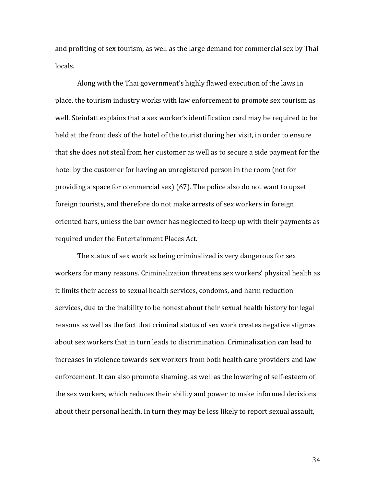and profiting of sex tourism, as well as the large demand for commercial sex by Thai locals.

Along with the Thai government's highly flawed execution of the laws in place, the tourism industry works with law enforcement to promote sex tourism as well. Steinfatt explains that a sex worker's identification card may be required to be held at the front desk of the hotel of the tourist during her visit, in order to ensure that she does not steal from her customer as well as to secure a side payment for the hotel by the customer for having an unregistered person in the room (not for providing a space for commercial sex) (67). The police also do not want to upset foreign tourists, and therefore do not make arrests of sex workers in foreign oriented bars, unless the bar owner has neglected to keep up with their payments as required under the Entertainment Places Act.

The status of sex work as being criminalized is very dangerous for sex workers for many reasons. Criminalization threatens sex workers' physical health as it limits their access to sexual health services, condoms, and harm reduction services, due to the inability to be honest about their sexual health history for legal reasons as well as the fact that criminal status of sex work creates negative stigmas about sex workers that in turn leads to discrimination. Criminalization can lead to increases in violence towards sex workers from both health care providers and law enforcement. It can also promote shaming, as well as the lowering of self-esteem of the sex workers, which reduces their ability and power to make informed decisions about their personal health. In turn they may be less likely to report sexual assault,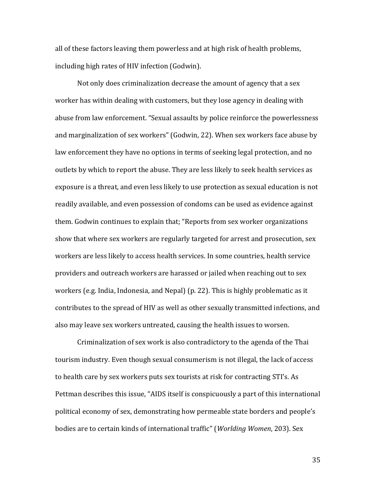all of these factors leaving them powerless and at high risk of health problems, including high rates of HIV infection (Godwin).

Not only does criminalization decrease the amount of agency that a sex worker has within dealing with customers, but they lose agency in dealing with abuse from law enforcement. "Sexual assaults by police reinforce the powerlessness and marginalization of sex workers" (Godwin, 22). When sex workers face abuse by law enforcement they have no options in terms of seeking legal protection, and no outlets by which to report the abuse. They are less likely to seek health services as exposure is a threat, and even less likely to use protection as sexual education is not readily available, and even possession of condoms can be used as evidence against them. Godwin continues to explain that; "Reports from sex worker organizations show that where sex workers are regularly targeted for arrest and prosecution, sex workers are less likely to access health services. In some countries, health service providers and outreach workers are harassed or jailed when reaching out to sex workers (e.g. India, Indonesia, and Nepal) (p. 22). This is highly problematic as it contributes to the spread of HIV as well as other sexually transmitted infections, and also may leave sex workers untreated, causing the health issues to worsen.

Criminalization of sex work is also contradictory to the agenda of the Thai tourism industry. Even though sexual consumerism is not illegal, the lack of access to health care by sex workers puts sex tourists at risk for contracting STI's. As Pettman describes this issue, "AIDS itself is conspicuously a part of this international political economy of sex, demonstrating how permeable state borders and people's bodies are to certain kinds of international traffic" (*Worlding Women*, 203). Sex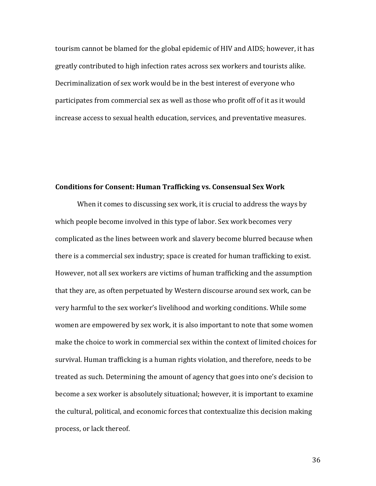tourism cannot be blamed for the global epidemic of HIV and AIDS; however, it has greatly contributed to high infection rates across sex workers and tourists alike. Decriminalization of sex work would be in the best interest of everyone who participates from commercial sex as well as those who profit off of it as it would increase access to sexual health education, services, and preventative measures.

#### **Conditions for Consent: Human Trafficking vs. Consensual Sex Work**

When it comes to discussing sex work, it is crucial to address the ways by which people become involved in this type of labor. Sex work becomes very complicated as the lines between work and slavery become blurred because when there is a commercial sex industry; space is created for human trafficking to exist. However, not all sex workers are victims of human trafficking and the assumption that they are, as often perpetuated by Western discourse around sex work, can be very harmful to the sex worker's livelihood and working conditions. While some women are empowered by sex work, it is also important to note that some women make the choice to work in commercial sex within the context of limited choices for survival. Human trafficking is a human rights violation, and therefore, needs to be treated as such. Determining the amount of agency that goes into one's decision to become a sex worker is absolutely situational; however, it is important to examine the cultural, political, and economic forces that contextualize this decision making process, or lack thereof.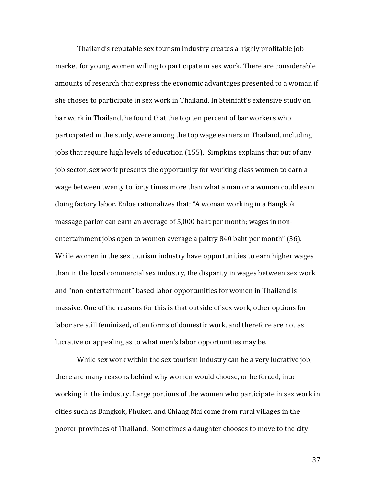Thailand's reputable sex tourism industry creates a highly profitable job market for young women willing to participate in sex work. There are considerable amounts of research that express the economic advantages presented to a woman if she choses to participate in sex work in Thailand. In Steinfatt's extensive study on bar work in Thailand, he found that the top ten percent of bar workers who participated in the study, were among the top wage earners in Thailand, including jobs that require high levels of education (155). Simpkins explains that out of any job sector, sex work presents the opportunity for working class women to earn a wage between twenty to forty times more than what a man or a woman could earn doing factory labor. Enloe rationalizes that; "A woman working in a Bangkok massage parlor can earn an average of 5,000 baht per month; wages in nonentertainment jobs open to women average a paltry 840 baht per month" (36). While women in the sex tourism industry have opportunities to earn higher wages than in the local commercial sex industry, the disparity in wages between sex work and "non-entertainment" based labor opportunities for women in Thailand is massive. One of the reasons for this is that outside of sex work, other options for labor are still feminized, often forms of domestic work, and therefore are not as lucrative or appealing as to what men's labor opportunities may be.

While sex work within the sex tourism industry can be a very lucrative job, there are many reasons behind why women would choose, or be forced, into working in the industry. Large portions of the women who participate in sex work in cities such as Bangkok, Phuket, and Chiang Mai come from rural villages in the poorer provinces of Thailand. Sometimes a daughter chooses to move to the city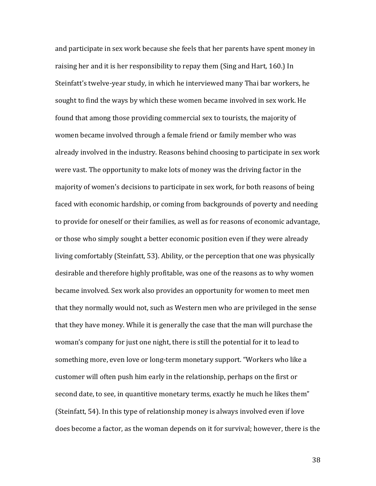and participate in sex work because she feels that her parents have spent money in raising her and it is her responsibility to repay them (Sing and Hart, 160.) In Steinfatt's twelve-year study, in which he interviewed many Thai bar workers, he sought to find the ways by which these women became involved in sex work. He found that among those providing commercial sex to tourists, the majority of women became involved through a female friend or family member who was already involved in the industry. Reasons behind choosing to participate in sex work were vast. The opportunity to make lots of money was the driving factor in the majority of women's decisions to participate in sex work, for both reasons of being faced with economic hardship, or coming from backgrounds of poverty and needing to provide for oneself or their families, as well as for reasons of economic advantage, or those who simply sought a better economic position even if they were already living comfortably (Steinfatt, 53). Ability, or the perception that one was physically desirable and therefore highly profitable, was one of the reasons as to why women became involved. Sex work also provides an opportunity for women to meet men that they normally would not, such as Western men who are privileged in the sense that they have money. While it is generally the case that the man will purchase the woman's company for just one night, there is still the potential for it to lead to something more, even love or long-term monetary support. "Workers who like a customer will often push him early in the relationship, perhaps on the first or second date, to see, in quantitive monetary terms, exactly he much he likes them" (Steinfatt, 54). In this type of relationship money is always involved even if love does become a factor, as the woman depends on it for survival; however, there is the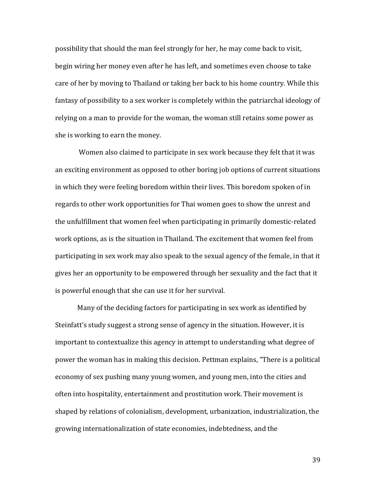possibility that should the man feel strongly for her, he may come back to visit, begin wiring her money even after he has left, and sometimes even choose to take care of her by moving to Thailand or taking her back to his home country. While this fantasy of possibility to a sex worker is completely within the patriarchal ideology of relying on a man to provide for the woman, the woman still retains some power as she is working to earn the money.

Women also claimed to participate in sex work because they felt that it was an exciting environment as opposed to other boring job options of current situations in which they were feeling boredom within their lives. This boredom spoken of in regards to other work opportunities for Thai women goes to show the unrest and the unfulfillment that women feel when participating in primarily domestic-related work options, as is the situation in Thailand. The excitement that women feel from participating in sex work may also speak to the sexual agency of the female, in that it gives her an opportunity to be empowered through her sexuality and the fact that it is powerful enough that she can use it for her survival.

Many of the deciding factors for participating in sex work as identified by Steinfatt's study suggest a strong sense of agency in the situation. However, it is important to contextualize this agency in attempt to understanding what degree of power the woman has in making this decision. Pettman explains, "There is a political economy of sex pushing many young women, and young men, into the cities and often into hospitality, entertainment and prostitution work. Their movement is shaped by relations of colonialism, development, urbanization, industrialization, the growing internationalization of state economies, indebtedness, and the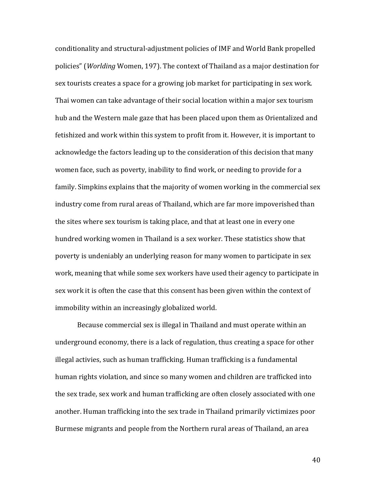conditionality and structural-adjustment policies of IMF and World Bank propelled policies" (*Worlding* Women, 197). The context of Thailand as a major destination for sex tourists creates a space for a growing job market for participating in sex work. Thai women can take advantage of their social location within a major sex tourism hub and the Western male gaze that has been placed upon them as Orientalized and fetishized and work within this system to profit from it. However, it is important to acknowledge the factors leading up to the consideration of this decision that many women face, such as poverty, inability to find work, or needing to provide for a family. Simpkins explains that the majority of women working in the commercial sex industry come from rural areas of Thailand, which are far more impoverished than the sites where sex tourism is taking place, and that at least one in every one hundred working women in Thailand is a sex worker. These statistics show that poverty is undeniably an underlying reason for many women to participate in sex work, meaning that while some sex workers have used their agency to participate in sex work it is often the case that this consent has been given within the context of immobility within an increasingly globalized world.

Because commercial sex is illegal in Thailand and must operate within an underground economy, there is a lack of regulation, thus creating a space for other illegal activies, such as human trafficking. Human trafficking is a fundamental human rights violation, and since so many women and children are trafficked into the sex trade, sex work and human trafficking are often closely associated with one another. Human trafficking into the sex trade in Thailand primarily victimizes poor Burmese migrants and people from the Northern rural areas of Thailand, an area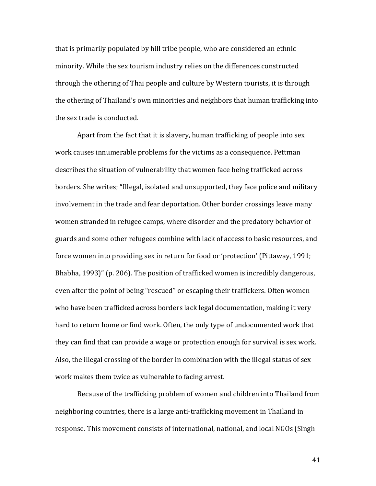that is primarily populated by hill tribe people, who are considered an ethnic minority. While the sex tourism industry relies on the differences constructed through the othering of Thai people and culture by Western tourists, it is through the othering of Thailand's own minorities and neighbors that human trafficking into the sex trade is conducted.

Apart from the fact that it is slavery, human trafficking of people into sex work causes innumerable problems for the victims as a consequence. Pettman describes the situation of vulnerability that women face being trafficked across borders. She writes; "Illegal, isolated and unsupported, they face police and military involvement in the trade and fear deportation. Other border crossings leave many women stranded in refugee camps, where disorder and the predatory behavior of guards and some other refugees combine with lack of access to basic resources, and force women into providing sex in return for food or 'protection' (Pittaway, 1991; Bhabha, 1993)" (p. 206). The position of trafficked women is incredibly dangerous, even after the point of being "rescued" or escaping their traffickers. Often women who have been trafficked across borders lack legal documentation, making it very hard to return home or find work. Often, the only type of undocumented work that they can find that can provide a wage or protection enough for survival is sex work. Also, the illegal crossing of the border in combination with the illegal status of sex work makes them twice as vulnerable to facing arrest.

Because of the trafficking problem of women and children into Thailand from neighboring countries, there is a large anti-trafficking movement in Thailand in response. This movement consists of international, national, and local NGOs (Singh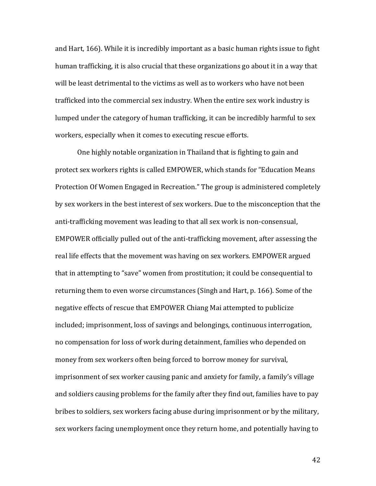and Hart, 166). While it is incredibly important as a basic human rights issue to fight human trafficking, it is also crucial that these organizations go about it in a way that will be least detrimental to the victims as well as to workers who have not been trafficked into the commercial sex industry. When the entire sex work industry is lumped under the category of human trafficking, it can be incredibly harmful to sex workers, especially when it comes to executing rescue efforts.

One highly notable organization in Thailand that is fighting to gain and protect sex workers rights is called EMPOWER, which stands for "Education Means Protection Of Women Engaged in Recreation." The group is administered completely by sex workers in the best interest of sex workers. Due to the misconception that the anti-trafficking movement was leading to that all sex work is non-consensual, EMPOWER officially pulled out of the anti-trafficking movement, after assessing the real life effects that the movement was having on sex workers. EMPOWER argued that in attempting to "save" women from prostitution; it could be consequential to returning them to even worse circumstances (Singh and Hart, p. 166). Some of the negative effects of rescue that EMPOWER Chiang Mai attempted to publicize included; imprisonment, loss of savings and belongings, continuous interrogation, no compensation for loss of work during detainment, families who depended on money from sex workers often being forced to borrow money for survival, imprisonment of sex worker causing panic and anxiety for family, a family's village and soldiers causing problems for the family after they find out, families have to pay bribes to soldiers, sex workers facing abuse during imprisonment or by the military, sex workers facing unemployment once they return home, and potentially having to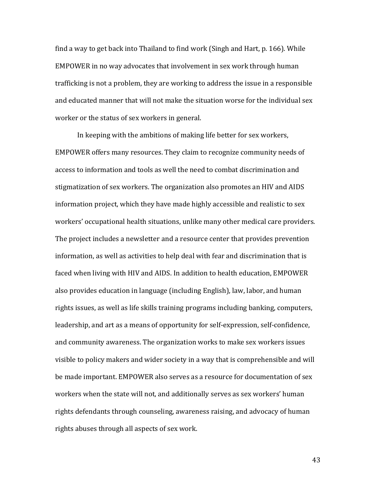find a way to get back into Thailand to find work (Singh and Hart, p. 166). While EMPOWER in no way advocates that involvement in sex work through human trafficking is not a problem, they are working to address the issue in a responsible and educated manner that will not make the situation worse for the individual sex worker or the status of sex workers in general.

In keeping with the ambitions of making life better for sex workers, EMPOWER offers many resources. They claim to recognize community needs of access to information and tools as well the need to combat discrimination and stigmatization of sex workers. The organization also promotes an HIV and AIDS information project, which they have made highly accessible and realistic to sex workers' occupational health situations, unlike many other medical care providers. The project includes a newsletter and a resource center that provides prevention information, as well as activities to help deal with fear and discrimination that is faced when living with HIV and AIDS. In addition to health education, EMPOWER also provides education in language (including English), law, labor, and human rights issues, as well as life skills training programs including banking, computers, leadership, and art as a means of opportunity for self-expression, self-confidence, and community awareness. The organization works to make sex workers issues visible to policy makers and wider society in a way that is comprehensible and will be made important. EMPOWER also serves as a resource for documentation of sex workers when the state will not, and additionally serves as sex workers' human rights defendants through counseling, awareness raising, and advocacy of human rights abuses through all aspects of sex work.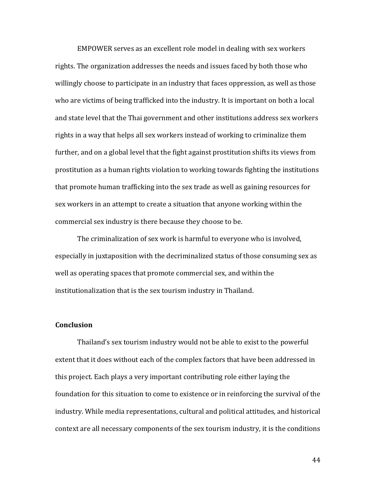EMPOWER serves as an excellent role model in dealing with sex workers rights. The organization addresses the needs and issues faced by both those who willingly choose to participate in an industry that faces oppression, as well as those who are victims of being trafficked into the industry. It is important on both a local and state level that the Thai government and other institutions address sex workers rights in a way that helps all sex workers instead of working to criminalize them further, and on a global level that the fight against prostitution shifts its views from prostitution as a human rights violation to working towards fighting the institutions that promote human trafficking into the sex trade as well as gaining resources for sex workers in an attempt to create a situation that anyone working within the commercial sex industry is there because they choose to be.

The criminalization of sex work is harmful to everyone who is involved, especially in juxtaposition with the decriminalized status of those consuming sex as well as operating spaces that promote commercial sex, and within the institutionalization that is the sex tourism industry in Thailand.

### **Conclusion**

Thailand's sex tourism industry would not be able to exist to the powerful extent that it does without each of the complex factors that have been addressed in this project. Each plays a very important contributing role either laying the foundation for this situation to come to existence or in reinforcing the survival of the industry. While media representations, cultural and political attitudes, and historical context are all necessary components of the sex tourism industry, it is the conditions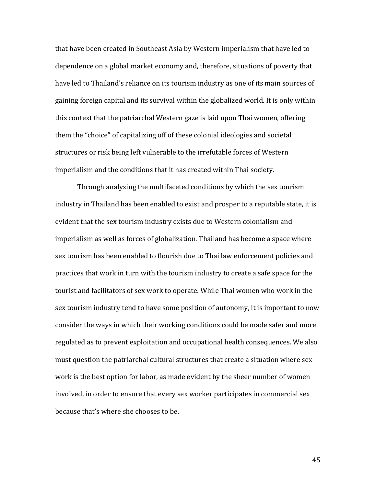that have been created in Southeast Asia by Western imperialism that have led to dependence on a global market economy and, therefore, situations of poverty that have led to Thailand's reliance on its tourism industry as one of its main sources of gaining foreign capital and its survival within the globalized world. It is only within this context that the patriarchal Western gaze is laid upon Thai women, offering them the "choice" of capitalizing off of these colonial ideologies and societal structures or risk being left vulnerable to the irrefutable forces of Western imperialism and the conditions that it has created within Thai society.

Through analyzing the multifaceted conditions by which the sex tourism industry in Thailand has been enabled to exist and prosper to a reputable state, it is evident that the sex tourism industry exists due to Western colonialism and imperialism as well as forces of globalization. Thailand has become a space where sex tourism has been enabled to flourish due to Thai law enforcement policies and practices that work in turn with the tourism industry to create a safe space for the tourist and facilitators of sex work to operate. While Thai women who work in the sex tourism industry tend to have some position of autonomy, it is important to now consider the ways in which their working conditions could be made safer and more regulated as to prevent exploitation and occupational health consequences. We also must question the patriarchal cultural structures that create a situation where sex work is the best option for labor, as made evident by the sheer number of women involved, in order to ensure that every sex worker participates in commercial sex because that's where she chooses to be.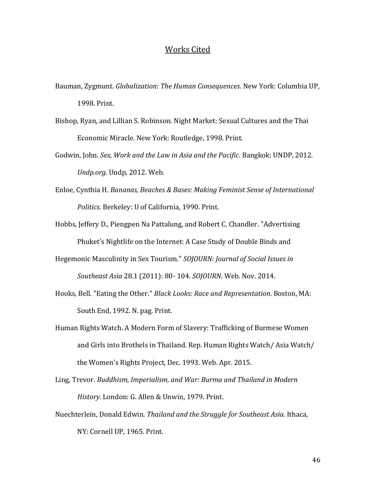#### Works Cited

- Bauman, Zygmunt. *Globalization: The Human Consequences*. New York: Columbia UP, 1998. Print.
- Bishop, Ryan, and Lillian S. Robinson. Night Market: Sexual Cultures and the Thai Economic Miracle. New York: Routledge, 1998. Print.
- Godwin, John. *Sex, Work and the Law in Asia and the Pacific*. Bangkok: UNDP, 2012. *Undp.org*. Undp, 2012. Web.
- Enloe, Cynthia H. *Bananas, Beaches & Bases: Making Feminist Sense of International Politics*. Berkeley: U of California, 1990. Print.
- Hobbs, Jeffery D., Piengpen Na Pattalung, and Robert C. Chandler. "Advertising Phuket's Nightlife on the Internet: A Case Study of Double Binds and
- Hegemonic Masculinity in Sex Tourism." *SOJOURN: Journal of Social Issues in Southeast Asia* 28.1 (2011): 80- 104. *SOJOURN*. Web. Nov. 2014.
- Hooks, Bell. "Eating the Other." *Black Looks: Race and Representation*. Boston, MA: South End, 1992. N. pag. Print.
- Human Rights Watch. A Modern Form of Slavery: Trafficking of Burmese Women and Girls into Brothels in Thailand. Rep. Human Rights Watch/ Asia Watch/ the Women's Rights Project, Dec. 1993. Web. Apr. 2015.
- Ling, Trevor. *Buddhism, Imperialism, and War: Burma and Thailand in Modern History*. London: G. Allen & Unwin, 1979. Print.
- Nuechterlein, Donald Edwin. *Thailand and the Struggle for Southeast Asia*. Ithaca, NY: Cornell UP, 1965. Print.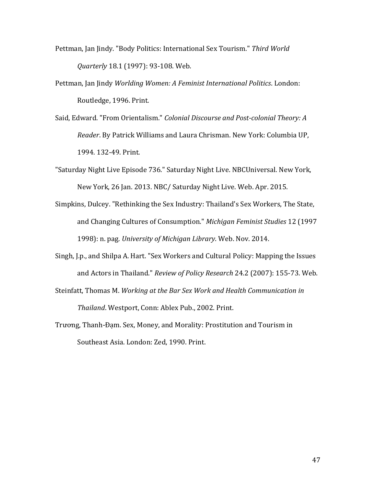- Pettman, Jan Jindy. "Body Politics: International Sex Tourism." *Third World Quarterly* 18.1 (1997): 93-108. Web.
- Pettman, Jan Jindy *Worlding Women: A Feminist International Politics*. London: Routledge, 1996. Print.
- Said, Edward. "From Orientalism." *Colonial Discourse and Post-colonial Theory: A Reader*. By Patrick Williams and Laura Chrisman. New York: Columbia UP, 1994. 132-49. Print.
- "Saturday Night Live Episode 736." Saturday Night Live. NBCUniversal. New York, New York, 26 Jan. 2013. NBC/ Saturday Night Live. Web. Apr. 2015.
- Simpkins, Dulcey. "Rethinking the Sex Industry: Thailand's Sex Workers, The State, and Changing Cultures of Consumption." *Michigan Feminist Studies* 12 (1997 1998): n. pag. *University of Michigan Library*. Web. Nov. 2014.
- Singh, J.p., and Shilpa A. Hart. "Sex Workers and Cultural Policy: Mapping the Issues and Actors in Thailand." *Review of Policy Research* 24.2 (2007): 155-73. Web.
- Steinfatt, Thomas M. *Working at the Bar Sex Work and Health Communication in Thailand*. Westport, Conn: Ablex Pub., 2002. Print.
- Trương, Thanh-Đạm. Sex, Money, and Morality: Prostitution and Tourism in Southeast Asia. London: Zed, 1990. Print.